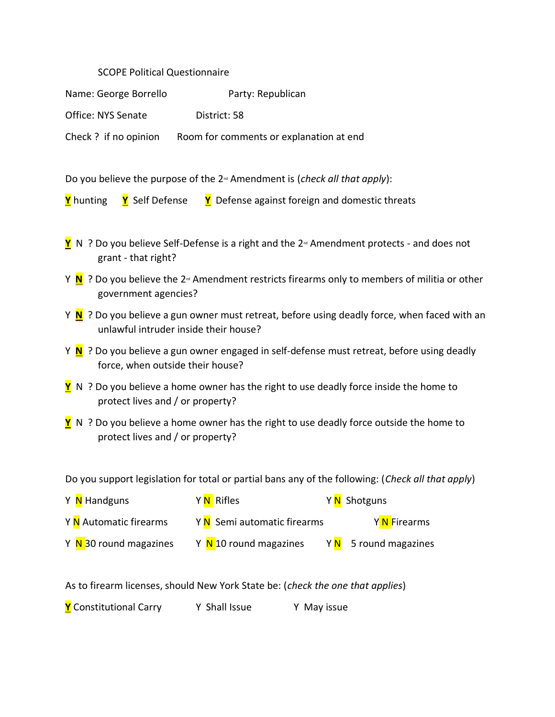## SCOPE Political Questionnaire

Name: George Borrello Party: Republican

Office: NYS Senate District: 58

Check ? if no opinion Room for comments or explanation at end

Do you believe the purpose of the 2<sup>nd</sup> Amendment is (*check all that apply*):

- **Y** N ? Do you believe Self-Defense is a right and the 2<sup>™</sup> Amendment protects and does not grant - that right?
- Y **N** ? Do you believe the 2<sup>nd</sup> Amendment restricts firearms only to members of militia or other government agencies?
- Y **N** ? Do you believe a gun owner must retreat, before using deadly force, when faced with an unlawful intruder inside their house?
- Y **N** ? Do you believe a gun owner engaged in self-defense must retreat, before using deadly force, when outside their house?
- **Y** N ? Do you believe a home owner has the right to use deadly force inside the home to protect lives and / or property?
- **Y** N ? Do you believe a home owner has the right to use deadly force outside the home to protect lives and / or property?

Do you support legislation for total or partial bans any of the following: (*Check all that apply*)

| Y <mark>N</mark> Handguns | Y <mark>N</mark> Rifles     | Y N Shotguns                       |
|---------------------------|-----------------------------|------------------------------------|
| Y N Automatic firearms    | Y N Semi automatic firearms | Y N Firearms                       |
| Y N 30 round magazines    | Y N 10 round magazines      | Y <mark>N</mark> 5 round magazines |

As to firearm licenses, should New York State be: (*check the one that applies*)

**Y** Constitutional Carry Y Shall Issue Y May issue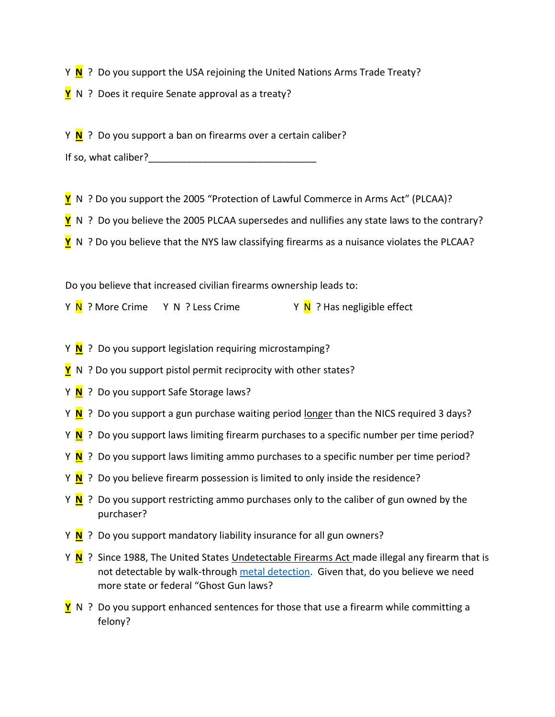Y **N** ? Do you support the USA rejoining the United Nations Arms Trade Treaty?

**Y** N ? Does it require Senate approval as a treaty?

Y **N** ? Do you support a ban on firearms over a certain caliber?

| If so, what caliber? |  |
|----------------------|--|
|----------------------|--|

**Y** N ? Do you support the 2005 "Protection of Lawful Commerce in Arms Act" (PLCAA)?

**Y** N ? Do you believe the 2005 PLCAA supersedes and nullifies any state laws to the contrary?

**Y** N ? Do you believe that the NYS law classifying firearms as a nuisance violates the PLCAA?

Do you believe that increased civilian firearms ownership leads to:

Y <mark>N</mark> ? More Crime Y N ? Less Crime Y N ? Has negligible effect

- Y **N** ? Do you support legislation requiring microstamping?
- **Y** N ? Do you support pistol permit reciprocity with other states?
- Y **N** ? Do you support Safe Storage laws?
- Y **N** ? Do you support a gun purchase waiting period longer than the NICS required 3 days?
- Y **N** ? Do you support laws limiting firearm purchases to a specific number per time period?
- Y **N** ? Do you support laws limiting ammo purchases to a specific number per time period?
- Y **N** ? Do you believe firearm possession is limited to only inside the residence?
- Y **N** ? Do you support restricting ammo purchases only to the caliber of gun owned by the purchaser?
- Y **N** ? Do you support mandatory liability insurance for all gun owners?
- Y **N** ? Since 1988, The United States Undetectable Firearms Act made illegal any firearm that is not detectable by walk-through [metal detection.](https://en.wikipedia.org/wiki/Metal_detector) Given that, do you believe we need more state or federal "Ghost Gun laws?
- **Y** N ? Do you support enhanced sentences for those that use a firearm while committing a felony?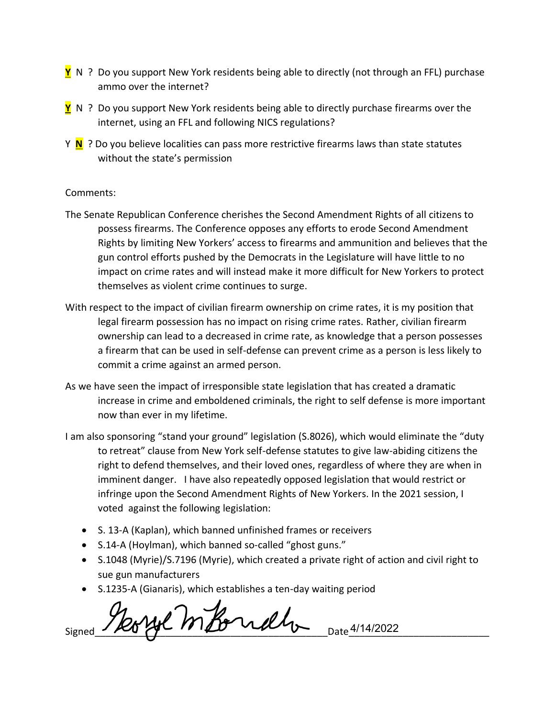- **Y** N ? Do you support New York residents being able to directly (not through an FFL) purchase ammo over the internet?
- **Y** N ? Do you support New York residents being able to directly purchase firearms over the internet, using an FFL and following NICS regulations?
- Y **N** ? Do you believe localities can pass more restrictive firearms laws than state statutes without the state's permission

## Comments:

- The Senate Republican Conference cherishes the Second Amendment Rights of all citizens to possess firearms. The Conference opposes any efforts to erode Second Amendment Rights by limiting New Yorkers' access to firearms and ammunition and believes that the gun control efforts pushed by the Democrats in the Legislature will have little to no impact on crime rates and will instead make it more difficult for New Yorkers to protect themselves as violent crime continues to surge.
- With respect to the impact of civilian firearm ownership on crime rates, it is my position that legal firearm possession has no impact on rising crime rates. Rather, civilian firearm ownership can lead to a decreased in crime rate, as knowledge that a person possesses a firearm that can be used in self-defense can prevent crime as a person is less likely to commit a crime against an armed person.
- As we have seen the impact of irresponsible state legislation that has created a dramatic increase in crime and emboldened criminals, the right to self defense is more important now than ever in my lifetime.
- I am also sponsoring "stand your ground" legislation (S.8026), which would eliminate the "duty to retreat" clause from New York self-defense statutes to give law-abiding citizens the right to defend themselves, and their loved ones, regardless of where they are when in imminent danger. I have also repeatedly opposed legislation that would restrict or infringe upon the Second Amendment Rights of New Yorkers. In the 2021 session, I voted against the following legislation:
	- S. 13-A (Kaplan), which banned unfinished frames or receivers
	- S.14-A (Hoylman), which banned so-called "ghost guns."
	- S.1048 (Myrie)/S.7196 (Myrie), which created a private right of action and civil right to sue gun manufacturers
	- S.1235-A (Gianaris), which establishes a ten-day waiting period

Morge motorrath Date 4/14/2022